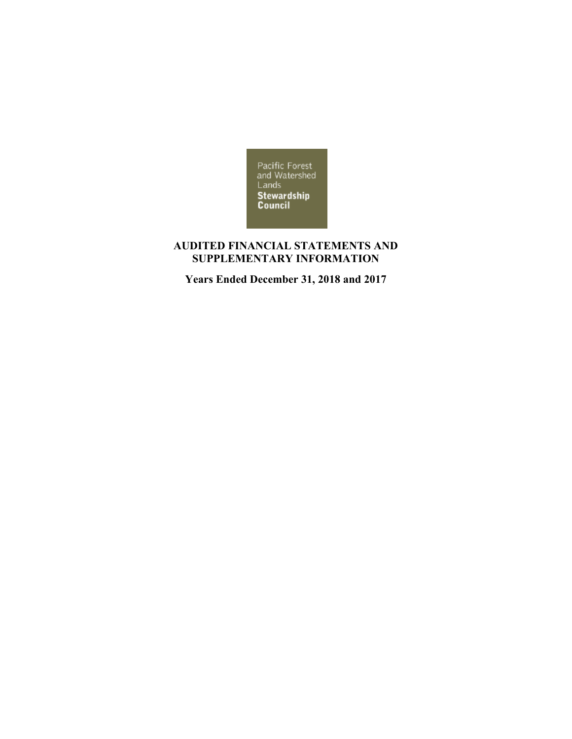

## **AUDITED FINANCIAL STATEMENTS AND SUPPLEMENTARY INFORMATION**

**Years Ended December 31, 2018 and 2017**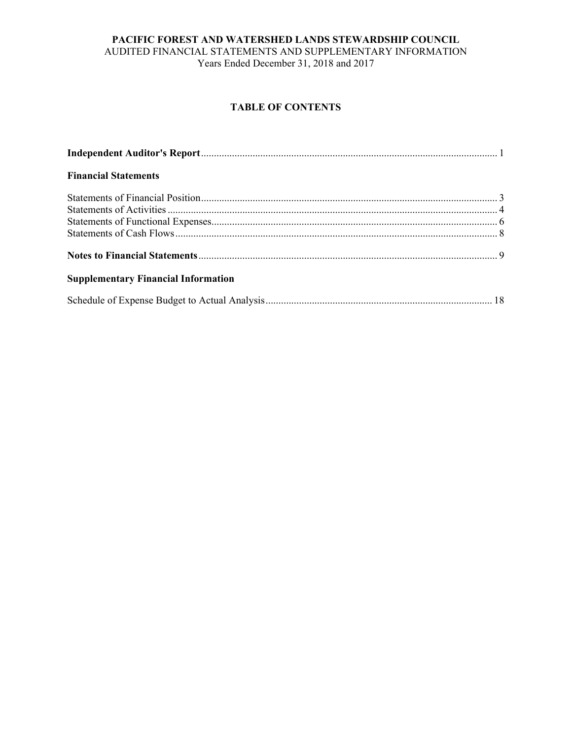## **PACIFIC FOREST AND WATERSHED LANDS STEWARDSHIP COUNCIL**  AUDITED FINANCIAL STATEMENTS AND SUPPLEMENTARY INFORMATION Years Ended December 31, 2018 and 2017

## **TABLE OF CONTENTS**

| <b>Financial Statements</b>                |  |
|--------------------------------------------|--|
|                                            |  |
|                                            |  |
|                                            |  |
|                                            |  |
|                                            |  |
| <b>Supplementary Financial Information</b> |  |
|                                            |  |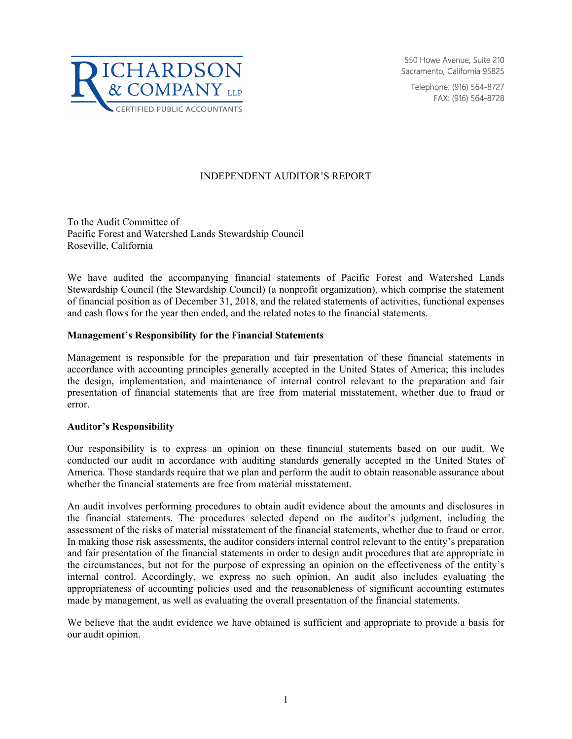

550 Howe Avenue, Suite 210 Sacramento, California 95825

Telephone: (916) 564-8727 FAX: (916) 564-8728

## INDEPENDENT AUDITOR'S REPORT

To the Audit Committee of Pacific Forest and Watershed Lands Stewardship Council Roseville, California

We have audited the accompanying financial statements of Pacific Forest and Watershed Lands Stewardship Council (the Stewardship Council) (a nonprofit organization), which comprise the statement of financial position as of December 31, 2018, and the related statements of activities, functional expenses and cash flows for the year then ended, and the related notes to the financial statements.

#### **Management's Responsibility for the Financial Statements**

Management is responsible for the preparation and fair presentation of these financial statements in accordance with accounting principles generally accepted in the United States of America; this includes the design, implementation, and maintenance of internal control relevant to the preparation and fair presentation of financial statements that are free from material misstatement, whether due to fraud or error.

#### **Auditor's Responsibility**

Our responsibility is to express an opinion on these financial statements based on our audit. We conducted our audit in accordance with auditing standards generally accepted in the United States of America. Those standards require that we plan and perform the audit to obtain reasonable assurance about whether the financial statements are free from material misstatement.

An audit involves performing procedures to obtain audit evidence about the amounts and disclosures in the financial statements. The procedures selected depend on the auditor's judgment, including the assessment of the risks of material misstatement of the financial statements, whether due to fraud or error. In making those risk assessments, the auditor considers internal control relevant to the entity's preparation and fair presentation of the financial statements in order to design audit procedures that are appropriate in the circumstances, but not for the purpose of expressing an opinion on the effectiveness of the entity's internal control. Accordingly, we express no such opinion. An audit also includes evaluating the appropriateness of accounting policies used and the reasonableness of significant accounting estimates made by management, as well as evaluating the overall presentation of the financial statements.

We believe that the audit evidence we have obtained is sufficient and appropriate to provide a basis for our audit opinion.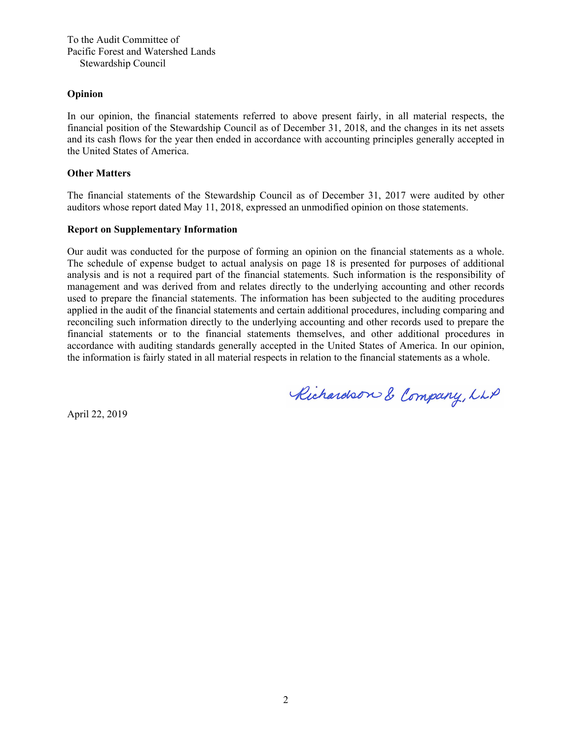To the Audit Committee of Pacific Forest and Watershed Lands Stewardship Council

#### **Opinion**

In our opinion, the financial statements referred to above present fairly, in all material respects, the financial position of the Stewardship Council as of December 31, 2018, and the changes in its net assets and its cash flows for the year then ended in accordance with accounting principles generally accepted in the United States of America.

#### **Other Matters**

The financial statements of the Stewardship Council as of December 31, 2017 were audited by other auditors whose report dated May 11, 2018, expressed an unmodified opinion on those statements.

#### **Report on Supplementary Information**

Our audit was conducted for the purpose of forming an opinion on the financial statements as a whole. The schedule of expense budget to actual analysis on page 18 is presented for purposes of additional analysis and is not a required part of the financial statements. Such information is the responsibility of management and was derived from and relates directly to the underlying accounting and other records used to prepare the financial statements. The information has been subjected to the auditing procedures applied in the audit of the financial statements and certain additional procedures, including comparing and reconciling such information directly to the underlying accounting and other records used to prepare the financial statements or to the financial statements themselves, and other additional procedures in accordance with auditing standards generally accepted in the United States of America. In our opinion, the information is fairly stated in all material respects in relation to the financial statements as a whole.

Richardson & Company, LLP

April 22, 2019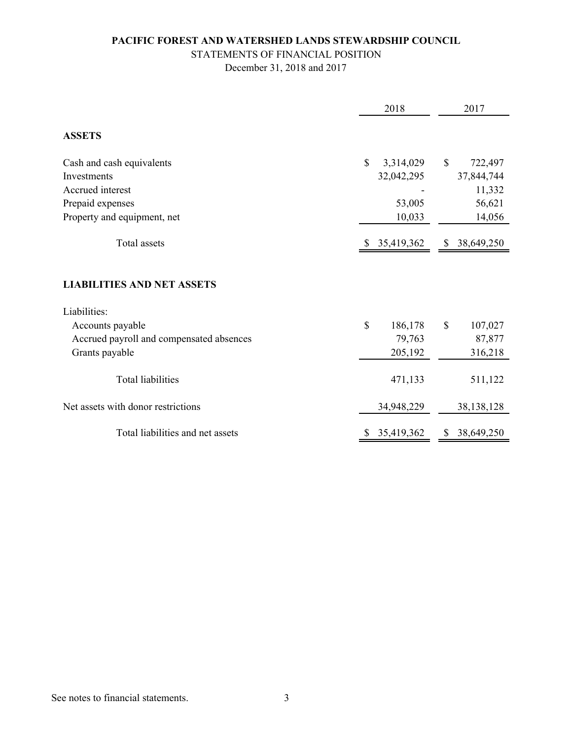# STATEMENTS OF FINANCIAL POSITION

December 31, 2018 and 2017

|                                                   | 2018         |              |               | 2017         |
|---------------------------------------------------|--------------|--------------|---------------|--------------|
| <b>ASSETS</b>                                     |              |              |               |              |
| Cash and cash equivalents                         | $\mathbb{S}$ | 3,314,029    | \$            | 722,497      |
| Investments                                       |              | 32,042,295   |               | 37,844,744   |
| Accrued interest                                  |              |              |               | 11,332       |
| Prepaid expenses                                  |              | 53,005       |               | 56,621       |
| Property and equipment, net                       |              | 10,033       |               | 14,056       |
| Total assets                                      |              | \$35,419,362 |               | \$38,649,250 |
| <b>LIABILITIES AND NET ASSETS</b><br>Liabilities: |              |              |               |              |
| Accounts payable                                  | $\mathbf S$  | 186,178      | $\mathcal{S}$ | 107,027      |
| Accrued payroll and compensated absences          |              | 79,763       |               | 87,877       |
| Grants payable                                    |              | 205,192      |               | 316,218      |
|                                                   |              |              |               |              |
| <b>Total liabilities</b>                          |              | 471,133      |               | 511,122      |
| Net assets with donor restrictions                |              | 34,948,229   |               | 38,138,128   |
| Total liabilities and net assets                  | S            | 35,419,362   | S             | 38,649,250   |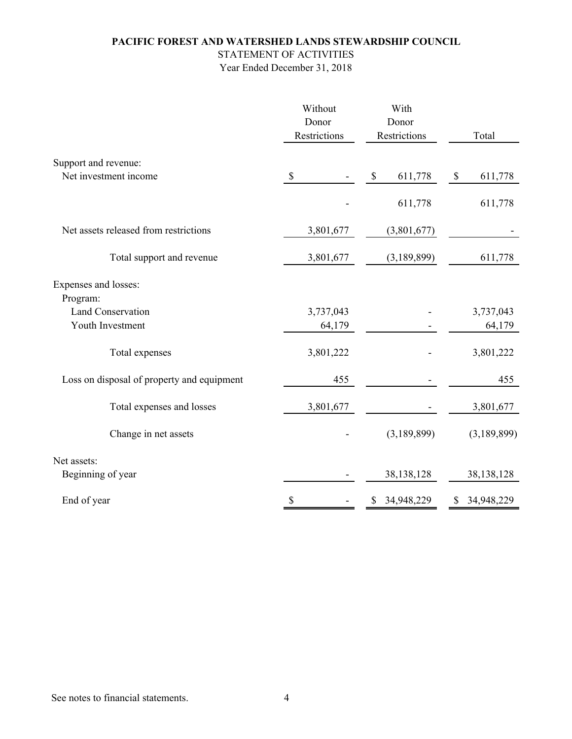# STATEMENT OF ACTIVITIES

|                                            | Without<br>Donor<br>Restrictions | With<br>Donor<br>Restrictions | Total         |
|--------------------------------------------|----------------------------------|-------------------------------|---------------|
| Support and revenue:                       |                                  |                               |               |
| Net investment income                      | $\mathbb{S}$                     | \$<br>611,778                 | \$<br>611,778 |
|                                            |                                  | 611,778                       | 611,778       |
| Net assets released from restrictions      | 3,801,677                        | (3,801,677)                   |               |
| Total support and revenue                  | 3,801,677                        | (3,189,899)                   | 611,778       |
| Expenses and losses:<br>Program:           |                                  |                               |               |
| <b>Land Conservation</b>                   | 3,737,043                        |                               | 3,737,043     |
| Youth Investment                           | 64,179                           |                               | 64,179        |
| Total expenses                             | 3,801,222                        |                               | 3,801,222     |
| Loss on disposal of property and equipment | 455                              |                               | 455           |
| Total expenses and losses                  | 3,801,677                        |                               | 3,801,677     |
| Change in net assets                       |                                  | (3,189,899)                   | (3,189,899)   |
| Net assets:                                |                                  |                               |               |
| Beginning of year                          |                                  | 38,138,128                    | 38,138,128    |
| End of year                                | $\boldsymbol{\mathsf{S}}$        | \$ 34,948,229                 | \$ 34,948,229 |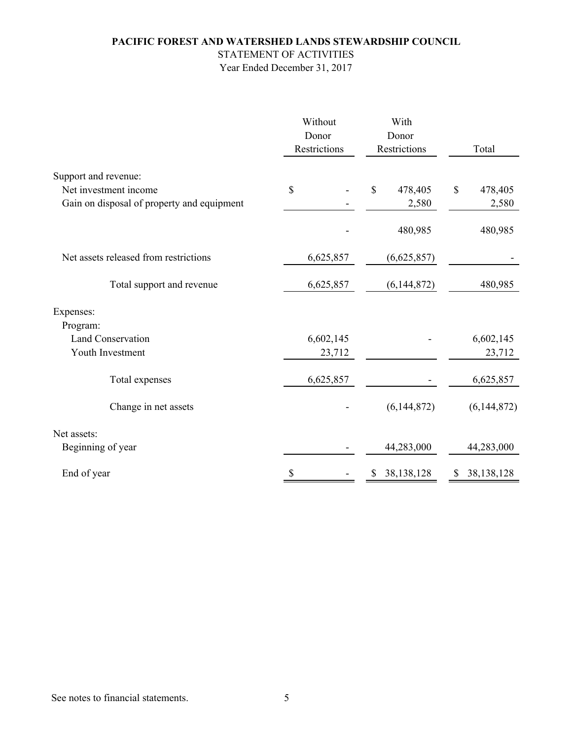STATEMENT OF ACTIVITIES

|                                            |              | Without<br>With<br>Donor<br>Donor<br>Restrictions<br>Restrictions |               |               |              | Total       |
|--------------------------------------------|--------------|-------------------------------------------------------------------|---------------|---------------|--------------|-------------|
| Support and revenue:                       |              |                                                                   |               |               |              |             |
| Net investment income                      | $\mathbb{S}$ |                                                                   | $\mathsf{\$}$ | 478,405       | $\mathbb{S}$ | 478,405     |
| Gain on disposal of property and equipment |              |                                                                   |               | 2,580         |              | 2,580       |
|                                            |              |                                                                   |               | 480,985       |              | 480,985     |
| Net assets released from restrictions      | 6,625,857    |                                                                   |               | (6,625,857)   |              |             |
| Total support and revenue                  | 6,625,857    |                                                                   |               | (6,144,872)   |              | 480,985     |
| Expenses:                                  |              |                                                                   |               |               |              |             |
| Program:                                   |              |                                                                   |               |               |              |             |
| Land Conservation                          | 6,602,145    |                                                                   |               |               |              | 6,602,145   |
| Youth Investment                           |              | 23,712                                                            |               |               |              | 23,712      |
| Total expenses                             | 6,625,857    |                                                                   |               |               |              | 6,625,857   |
| Change in net assets                       |              |                                                                   |               | (6, 144, 872) |              | (6,144,872) |
| Net assets:                                |              |                                                                   |               |               |              |             |
| Beginning of year                          |              |                                                                   |               | 44,283,000    |              | 44,283,000  |
| End of year                                | \$           |                                                                   | \$            | 38,138,128    | \$           | 38,138,128  |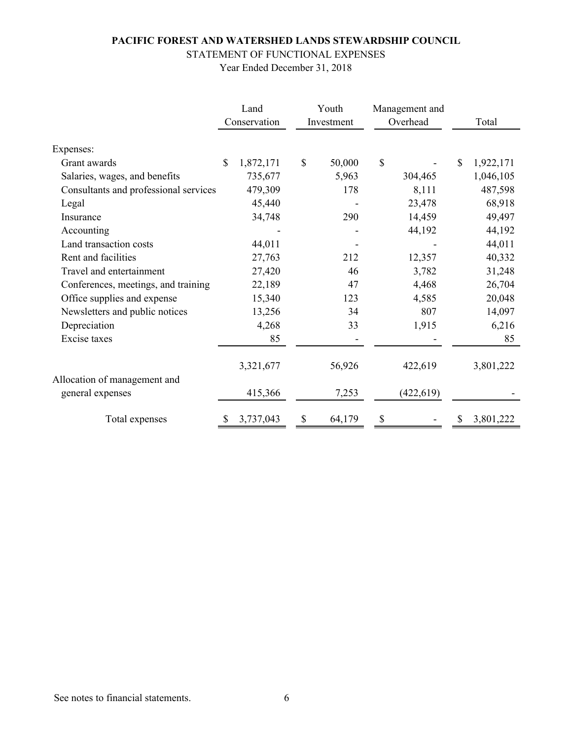# STATEMENT OF FUNCTIONAL EXPENSES

|                                       | Land<br>Conservation | Youth<br>Investment | Management and<br>Overhead | Total           |
|---------------------------------------|----------------------|---------------------|----------------------------|-----------------|
| Expenses:                             |                      |                     |                            |                 |
| Grant awards                          | \$<br>1,872,171      | \$<br>50,000        | \$                         | \$<br>1,922,171 |
| Salaries, wages, and benefits         | 735,677              | 5,963               | 304,465                    | 1,046,105       |
| Consultants and professional services | 479,309              | 178                 | 8,111                      | 487,598         |
| Legal                                 | 45,440               |                     | 23,478                     | 68,918          |
| Insurance                             | 34,748               | 290                 | 14,459                     | 49,497          |
| Accounting                            |                      |                     | 44,192                     | 44,192          |
| Land transaction costs                | 44,011               |                     |                            | 44,011          |
| Rent and facilities                   | 27,763               | 212                 | 12,357                     | 40,332          |
| Travel and entertainment              | 27,420               | 46                  | 3,782                      | 31,248          |
| Conferences, meetings, and training   | 22,189               | 47                  | 4,468                      | 26,704          |
| Office supplies and expense           | 15,340               | 123                 | 4,585                      | 20,048          |
| Newsletters and public notices        | 13,256               | 34                  | 807                        | 14,097          |
| Depreciation                          | 4,268                | 33                  | 1,915                      | 6,216           |
| Excise taxes                          | 85                   |                     |                            | 85              |
|                                       | 3,321,677            | 56,926              | 422,619                    | 3,801,222       |
| Allocation of management and          |                      |                     |                            |                 |
| general expenses                      | 415,366              | 7,253               | (422, 619)                 |                 |
| Total expenses                        | 3,737,043            | \$<br>64,179        | \$                         | \$<br>3,801,222 |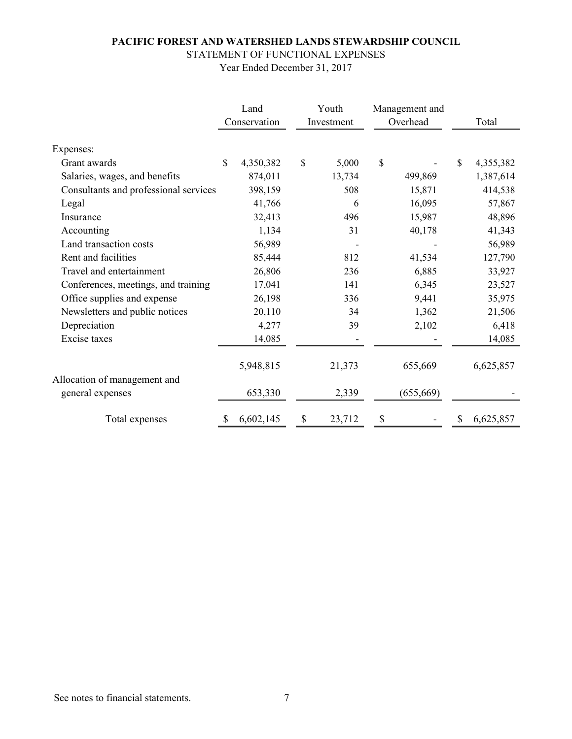# STATEMENT OF FUNCTIONAL EXPENSES

|                                       |    | Land<br>Conservation |                           | Youth<br>Investment | Management and<br>Overhead | Total           |
|---------------------------------------|----|----------------------|---------------------------|---------------------|----------------------------|-----------------|
| Expenses:                             |    |                      |                           |                     |                            |                 |
| Grant awards                          | \$ | 4,350,382            | $\boldsymbol{\mathsf{S}}$ | 5,000               | \$                         | \$<br>4,355,382 |
| Salaries, wages, and benefits         |    | 874,011              |                           | 13,734              | 499,869                    | 1,387,614       |
| Consultants and professional services |    | 398,159              |                           | 508                 | 15,871                     | 414,538         |
| Legal                                 |    | 41,766               |                           | 6                   | 16,095                     | 57,867          |
| Insurance                             |    | 32,413               |                           | 496                 | 15,987                     | 48,896          |
| Accounting                            |    | 1,134                |                           | 31                  | 40,178                     | 41,343          |
| Land transaction costs                |    | 56,989               |                           |                     |                            | 56,989          |
| Rent and facilities                   |    | 85,444               |                           | 812                 | 41,534                     | 127,790         |
| Travel and entertainment              |    | 26,806               |                           | 236                 | 6,885                      | 33,927          |
| Conferences, meetings, and training   |    | 17,041               |                           | 141                 | 6,345                      | 23,527          |
| Office supplies and expense           |    | 26,198               |                           | 336                 | 9,441                      | 35,975          |
| Newsletters and public notices        |    | 20,110               |                           | 34                  | 1,362                      | 21,506          |
| Depreciation                          |    | 4,277                |                           | 39                  | 2,102                      | 6,418           |
| Excise taxes                          |    | 14,085               |                           |                     |                            | 14,085          |
|                                       |    | 5,948,815            |                           | 21,373              | 655,669                    | 6,625,857       |
| Allocation of management and          |    |                      |                           |                     |                            |                 |
| general expenses                      |    | 653,330              |                           | 2,339               | (655, 669)                 |                 |
| Total expenses                        | S  | 6,602,145            | \$                        | 23,712              | \$                         | \$<br>6,625,857 |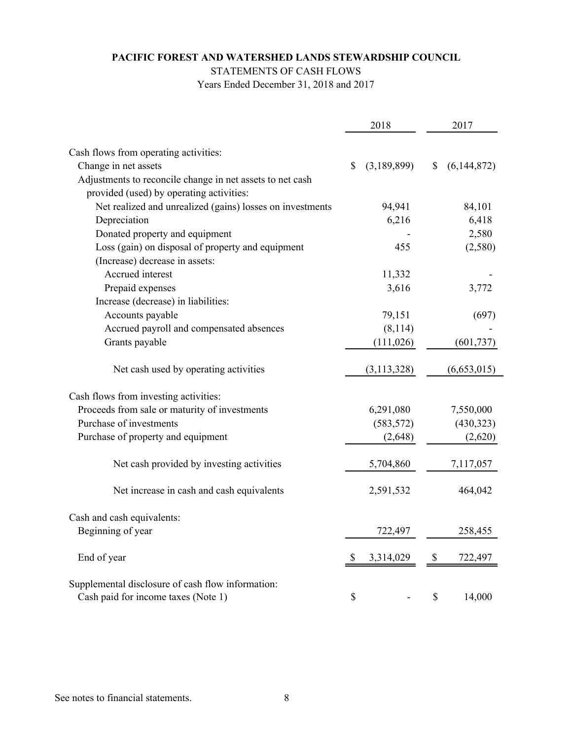STATEMENTS OF CASH FLOWS

Years Ended December 31, 2018 and 2017

|                                                           | 2018 |               | 2017              |
|-----------------------------------------------------------|------|---------------|-------------------|
| Cash flows from operating activities:                     |      |               |                   |
| Change in net assets                                      | \$   | (3,189,899)   | \$<br>(6,144,872) |
| Adjustments to reconcile change in net assets to net cash |      |               |                   |
| provided (used) by operating activities:                  |      |               |                   |
| Net realized and unrealized (gains) losses on investments |      | 94,941        | 84,101            |
|                                                           |      |               |                   |
| Depreciation                                              |      | 6,216         | 6,418             |
| Donated property and equipment                            |      |               | 2,580             |
| Loss (gain) on disposal of property and equipment         |      | 455           | (2,580)           |
| (Increase) decrease in assets:                            |      |               |                   |
| Accrued interest                                          |      | 11,332        |                   |
| Prepaid expenses                                          |      | 3,616         | 3,772             |
| Increase (decrease) in liabilities:                       |      |               |                   |
| Accounts payable                                          |      | 79,151        | (697)             |
| Accrued payroll and compensated absences                  |      | (8, 114)      |                   |
| Grants payable                                            |      | (111, 026)    | (601, 737)        |
| Net cash used by operating activities                     |      | (3, 113, 328) | (6, 653, 015)     |
| Cash flows from investing activities:                     |      |               |                   |
| Proceeds from sale or maturity of investments             |      | 6,291,080     | 7,550,000         |
| Purchase of investments                                   |      | (583, 572)    | (430, 323)        |
| Purchase of property and equipment                        |      | (2,648)       | (2,620)           |
| Net cash provided by investing activities                 |      | 5,704,860     | 7,117,057         |
| Net increase in cash and cash equivalents                 |      | 2,591,532     | 464,042           |
| Cash and cash equivalents:                                |      |               |                   |
| Beginning of year                                         |      | 722,497       | 258,455           |
|                                                           |      |               |                   |
| End of year                                               | \$   | 3,314,029     | \$<br>722,497     |
| Supplemental disclosure of cash flow information:         |      |               |                   |
| Cash paid for income taxes (Note 1)                       | \$   |               | \$<br>14,000      |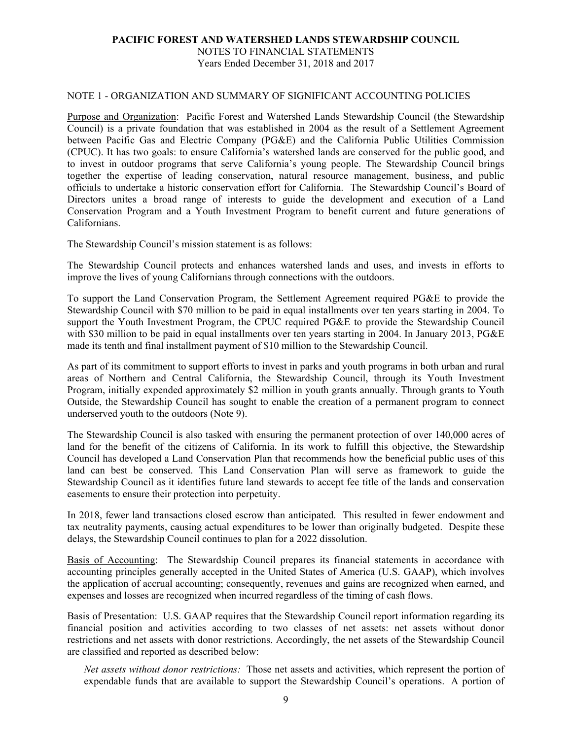NOTES TO FINANCIAL STATEMENTS Years Ended December 31, 2018 and 2017

#### NOTE 1 - ORGANIZATION AND SUMMARY OF SIGNIFICANT ACCOUNTING POLICIES

Purpose and Organization: Pacific Forest and Watershed Lands Stewardship Council (the Stewardship Council) is a private foundation that was established in 2004 as the result of a Settlement Agreement between Pacific Gas and Electric Company (PG&E) and the California Public Utilities Commission (CPUC). It has two goals: to ensure California's watershed lands are conserved for the public good, and to invest in outdoor programs that serve California's young people. The Stewardship Council brings together the expertise of leading conservation, natural resource management, business, and public officials to undertake a historic conservation effort for California. The Stewardship Council's Board of Directors unites a broad range of interests to guide the development and execution of a Land Conservation Program and a Youth Investment Program to benefit current and future generations of Californians.

The Stewardship Council's mission statement is as follows:

The Stewardship Council protects and enhances watershed lands and uses, and invests in efforts to improve the lives of young Californians through connections with the outdoors.

To support the Land Conservation Program, the Settlement Agreement required PG&E to provide the Stewardship Council with \$70 million to be paid in equal installments over ten years starting in 2004. To support the Youth Investment Program, the CPUC required PG&E to provide the Stewardship Council with \$30 million to be paid in equal installments over ten years starting in 2004. In January 2013, PG&E made its tenth and final installment payment of \$10 million to the Stewardship Council.

As part of its commitment to support efforts to invest in parks and youth programs in both urban and rural areas of Northern and Central California, the Stewardship Council, through its Youth Investment Program, initially expended approximately \$2 million in youth grants annually. Through grants to Youth Outside, the Stewardship Council has sought to enable the creation of a permanent program to connect underserved youth to the outdoors (Note 9).

The Stewardship Council is also tasked with ensuring the permanent protection of over 140,000 acres of land for the benefit of the citizens of California. In its work to fulfill this objective, the Stewardship Council has developed a Land Conservation Plan that recommends how the beneficial public uses of this land can best be conserved. This Land Conservation Plan will serve as framework to guide the Stewardship Council as it identifies future land stewards to accept fee title of the lands and conservation easements to ensure their protection into perpetuity.

In 2018, fewer land transactions closed escrow than anticipated. This resulted in fewer endowment and tax neutrality payments, causing actual expenditures to be lower than originally budgeted. Despite these delays, the Stewardship Council continues to plan for a 2022 dissolution.

Basis of Accounting: The Stewardship Council prepares its financial statements in accordance with accounting principles generally accepted in the United States of America (U.S. GAAP), which involves the application of accrual accounting; consequently, revenues and gains are recognized when earned, and expenses and losses are recognized when incurred regardless of the timing of cash flows.

Basis of Presentation: U.S. GAAP requires that the Stewardship Council report information regarding its financial position and activities according to two classes of net assets: net assets without donor restrictions and net assets with donor restrictions. Accordingly, the net assets of the Stewardship Council are classified and reported as described below:

*Net assets without donor restrictions:* Those net assets and activities, which represent the portion of expendable funds that are available to support the Stewardship Council's operations. A portion of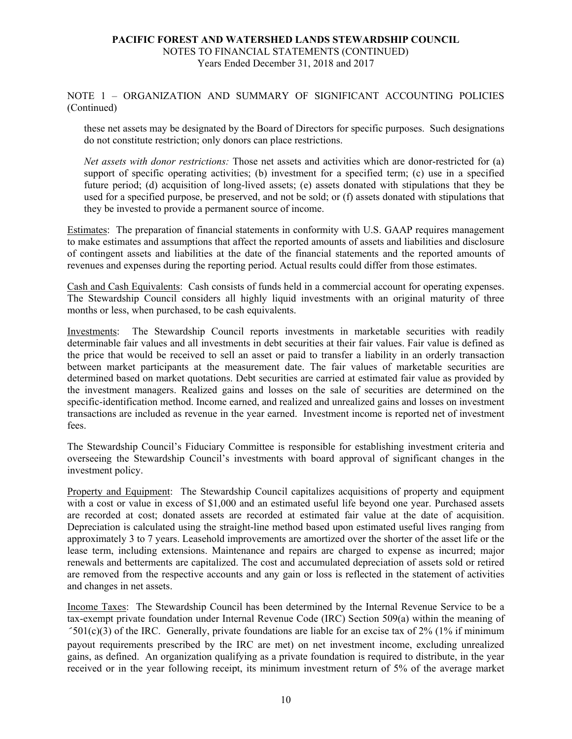### NOTE 1 – ORGANIZATION AND SUMMARY OF SIGNIFICANT ACCOUNTING POLICIES (Continued)

these net assets may be designated by the Board of Directors for specific purposes. Such designations do not constitute restriction; only donors can place restrictions.

*Net assets with donor restrictions:* Those net assets and activities which are donor-restricted for (a) support of specific operating activities; (b) investment for a specified term; (c) use in a specified future period; (d) acquisition of long-lived assets; (e) assets donated with stipulations that they be used for a specified purpose, be preserved, and not be sold; or (f) assets donated with stipulations that they be invested to provide a permanent source of income.

Estimates: The preparation of financial statements in conformity with U.S. GAAP requires management to make estimates and assumptions that affect the reported amounts of assets and liabilities and disclosure of contingent assets and liabilities at the date of the financial statements and the reported amounts of revenues and expenses during the reporting period. Actual results could differ from those estimates.

Cash and Cash Equivalents: Cash consists of funds held in a commercial account for operating expenses. The Stewardship Council considers all highly liquid investments with an original maturity of three months or less, when purchased, to be cash equivalents.

Investments: The Stewardship Council reports investments in marketable securities with readily determinable fair values and all investments in debt securities at their fair values. Fair value is defined as the price that would be received to sell an asset or paid to transfer a liability in an orderly transaction between market participants at the measurement date. The fair values of marketable securities are determined based on market quotations. Debt securities are carried at estimated fair value as provided by the investment managers. Realized gains and losses on the sale of securities are determined on the specific-identification method. Income earned, and realized and unrealized gains and losses on investment transactions are included as revenue in the year earned. Investment income is reported net of investment fees.

The Stewardship Council's Fiduciary Committee is responsible for establishing investment criteria and overseeing the Stewardship Council's investments with board approval of significant changes in the investment policy.

Property and Equipment: The Stewardship Council capitalizes acquisitions of property and equipment with a cost or value in excess of \$1,000 and an estimated useful life beyond one year. Purchased assets are recorded at cost; donated assets are recorded at estimated fair value at the date of acquisition. Depreciation is calculated using the straight-line method based upon estimated useful lives ranging from approximately 3 to 7 years. Leasehold improvements are amortized over the shorter of the asset life or the lease term, including extensions. Maintenance and repairs are charged to expense as incurred; major renewals and betterments are capitalized. The cost and accumulated depreciation of assets sold or retired are removed from the respective accounts and any gain or loss is reflected in the statement of activities and changes in net assets.

Income Taxes: The Stewardship Council has been determined by the Internal Revenue Service to be a tax-exempt private foundation under Internal Revenue Code (IRC) Section 509(a) within the meaning of 501(c)(3) of the IRC. Generally, private foundations are liable for an excise tax of 2% (1% if minimum payout requirements prescribed by the IRC are met) on net investment income, excluding unrealized gains, as defined. An organization qualifying as a private foundation is required to distribute, in the year received or in the year following receipt, its minimum investment return of 5% of the average market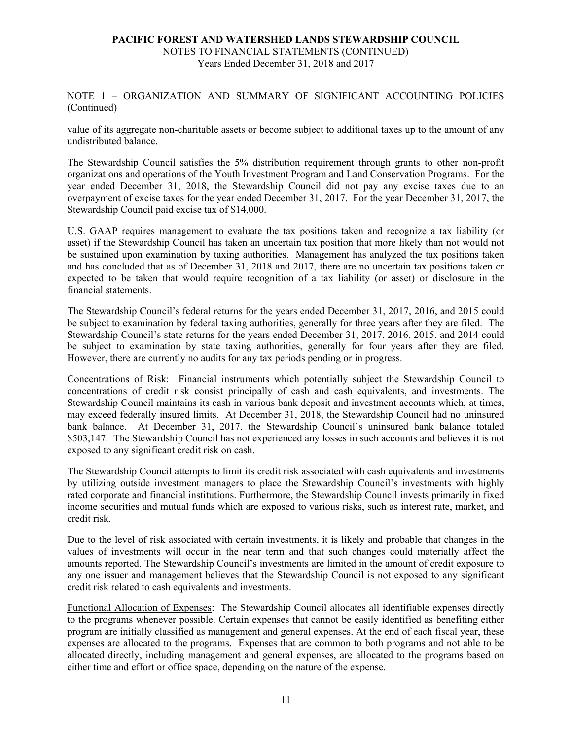NOTE 1 – ORGANIZATION AND SUMMARY OF SIGNIFICANT ACCOUNTING POLICIES (Continued)

value of its aggregate non-charitable assets or become subject to additional taxes up to the amount of any undistributed balance.

The Stewardship Council satisfies the 5% distribution requirement through grants to other non-profit organizations and operations of the Youth Investment Program and Land Conservation Programs. For the year ended December 31, 2018, the Stewardship Council did not pay any excise taxes due to an overpayment of excise taxes for the year ended December 31, 2017. For the year December 31, 2017, the Stewardship Council paid excise tax of \$14,000.

U.S. GAAP requires management to evaluate the tax positions taken and recognize a tax liability (or asset) if the Stewardship Council has taken an uncertain tax position that more likely than not would not be sustained upon examination by taxing authorities. Management has analyzed the tax positions taken and has concluded that as of December 31, 2018 and 2017, there are no uncertain tax positions taken or expected to be taken that would require recognition of a tax liability (or asset) or disclosure in the financial statements.

The Stewardship Council's federal returns for the years ended December 31, 2017, 2016, and 2015 could be subject to examination by federal taxing authorities, generally for three years after they are filed. The Stewardship Council's state returns for the years ended December 31, 2017, 2016, 2015, and 2014 could be subject to examination by state taxing authorities, generally for four years after they are filed. However, there are currently no audits for any tax periods pending or in progress.

Concentrations of Risk: Financial instruments which potentially subject the Stewardship Council to concentrations of credit risk consist principally of cash and cash equivalents, and investments. The Stewardship Council maintains its cash in various bank deposit and investment accounts which, at times, may exceed federally insured limits. At December 31, 2018, the Stewardship Council had no uninsured bank balance. At December 31, 2017, the Stewardship Council's uninsured bank balance totaled \$503,147. The Stewardship Council has not experienced any losses in such accounts and believes it is not exposed to any significant credit risk on cash.

The Stewardship Council attempts to limit its credit risk associated with cash equivalents and investments by utilizing outside investment managers to place the Stewardship Council's investments with highly rated corporate and financial institutions. Furthermore, the Stewardship Council invests primarily in fixed income securities and mutual funds which are exposed to various risks, such as interest rate, market, and credit risk.

Due to the level of risk associated with certain investments, it is likely and probable that changes in the values of investments will occur in the near term and that such changes could materially affect the amounts reported. The Stewardship Council's investments are limited in the amount of credit exposure to any one issuer and management believes that the Stewardship Council is not exposed to any significant credit risk related to cash equivalents and investments.

Functional Allocation of Expenses: The Stewardship Council allocates all identifiable expenses directly to the programs whenever possible. Certain expenses that cannot be easily identified as benefiting either program are initially classified as management and general expenses. At the end of each fiscal year, these expenses are allocated to the programs. Expenses that are common to both programs and not able to be allocated directly, including management and general expenses, are allocated to the programs based on either time and effort or office space, depending on the nature of the expense.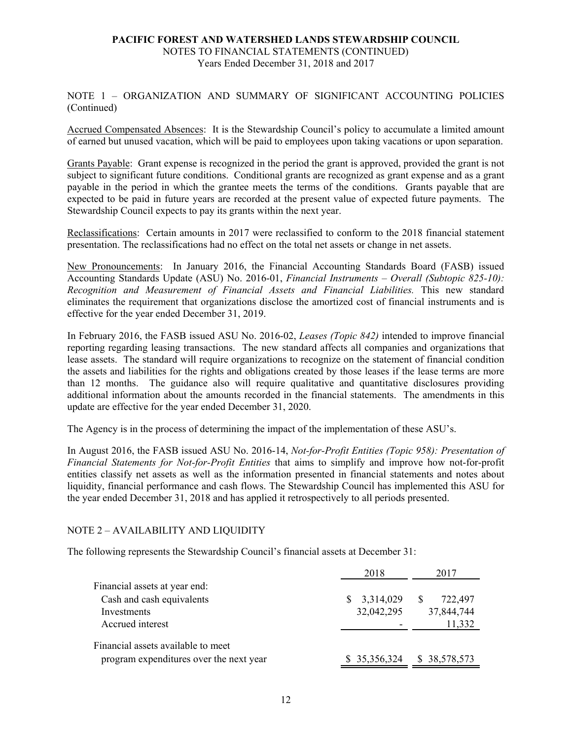NOTE 1 – ORGANIZATION AND SUMMARY OF SIGNIFICANT ACCOUNTING POLICIES (Continued)

Accrued Compensated Absences: It is the Stewardship Council's policy to accumulate a limited amount of earned but unused vacation, which will be paid to employees upon taking vacations or upon separation.

Grants Payable: Grant expense is recognized in the period the grant is approved, provided the grant is not subject to significant future conditions. Conditional grants are recognized as grant expense and as a grant payable in the period in which the grantee meets the terms of the conditions. Grants payable that are expected to be paid in future years are recorded at the present value of expected future payments. The Stewardship Council expects to pay its grants within the next year.

Reclassifications: Certain amounts in 2017 were reclassified to conform to the 2018 financial statement presentation. The reclassifications had no effect on the total net assets or change in net assets.

New Pronouncements: In January 2016, the Financial Accounting Standards Board (FASB) issued Accounting Standards Update (ASU) No. 2016-01, *Financial Instruments – Overall (Subtopic 825-10): Recognition and Measurement of Financial Assets and Financial Liabilities.* This new standard eliminates the requirement that organizations disclose the amortized cost of financial instruments and is effective for the year ended December 31, 2019.

In February 2016, the FASB issued ASU No. 2016-02, *Leases (Topic 842)* intended to improve financial reporting regarding leasing transactions. The new standard affects all companies and organizations that lease assets. The standard will require organizations to recognize on the statement of financial condition the assets and liabilities for the rights and obligations created by those leases if the lease terms are more than 12 months. The guidance also will require qualitative and quantitative disclosures providing additional information about the amounts recorded in the financial statements. The amendments in this update are effective for the year ended December 31, 2020.

The Agency is in the process of determining the impact of the implementation of these ASU's.

In August 2016, the FASB issued ASU No. 2016-14, *Not-for-Profit Entities (Topic 958): Presentation of Financial Statements for Not-for-Profit Entities* that aims to simplify and improve how not-for-profit entities classify net assets as well as the information presented in financial statements and notes about liquidity, financial performance and cash flows. The Stewardship Council has implemented this ASU for the year ended December 31, 2018 and has applied it retrospectively to all periods presented.

### NOTE 2 – AVAILABILITY AND LIQUIDITY

The following represents the Stewardship Council's financial assets at December 31:

|                                         | 2018         | 2017         |
|-----------------------------------------|--------------|--------------|
| Financial assets at year end:           |              |              |
| Cash and cash equivalents               | 3,314,029    | 722,497<br>S |
| Investments                             | 32,042,295   | 37,844,744   |
| Accrued interest                        |              | 11,332       |
| Financial assets available to meet      |              |              |
| program expenditures over the next year | \$35,356,324 | \$38,578,573 |
|                                         |              |              |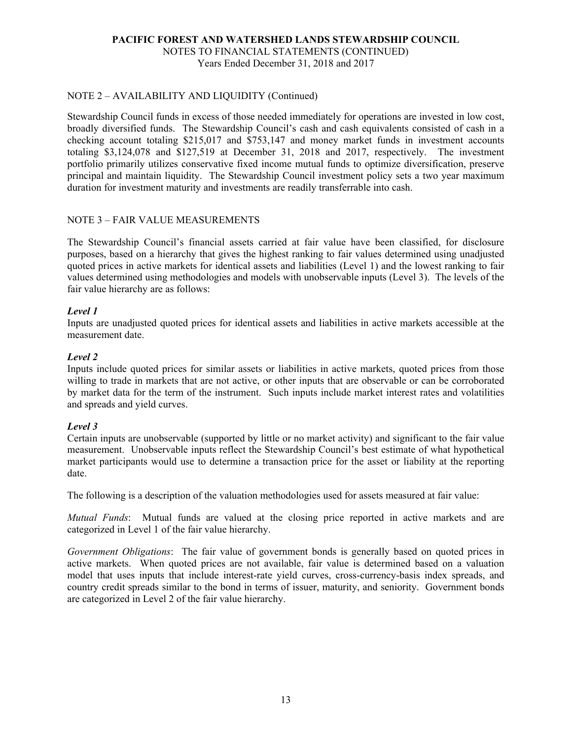NOTES TO FINANCIAL STATEMENTS (CONTINUED) Years Ended December 31, 2018 and 2017

## NOTE 2 – AVAILABILITY AND LIQUIDITY (Continued)

Stewardship Council funds in excess of those needed immediately for operations are invested in low cost, broadly diversified funds. The Stewardship Council's cash and cash equivalents consisted of cash in a checking account totaling \$215,017 and \$753,147 and money market funds in investment accounts totaling \$3,124,078 and \$127,519 at December 31, 2018 and 2017, respectively. The investment portfolio primarily utilizes conservative fixed income mutual funds to optimize diversification, preserve principal and maintain liquidity. The Stewardship Council investment policy sets a two year maximum duration for investment maturity and investments are readily transferrable into cash.

### NOTE 3 – FAIR VALUE MEASUREMENTS

The Stewardship Council's financial assets carried at fair value have been classified, for disclosure purposes, based on a hierarchy that gives the highest ranking to fair values determined using unadjusted quoted prices in active markets for identical assets and liabilities (Level 1) and the lowest ranking to fair values determined using methodologies and models with unobservable inputs (Level 3). The levels of the fair value hierarchy are as follows:

### *Level 1*

Inputs are unadjusted quoted prices for identical assets and liabilities in active markets accessible at the measurement date.

### *Level 2*

Inputs include quoted prices for similar assets or liabilities in active markets, quoted prices from those willing to trade in markets that are not active, or other inputs that are observable or can be corroborated by market data for the term of the instrument. Such inputs include market interest rates and volatilities and spreads and yield curves.

### *Level 3*

Certain inputs are unobservable (supported by little or no market activity) and significant to the fair value measurement. Unobservable inputs reflect the Stewardship Council's best estimate of what hypothetical market participants would use to determine a transaction price for the asset or liability at the reporting date.

The following is a description of the valuation methodologies used for assets measured at fair value:

*Mutual Funds*: Mutual funds are valued at the closing price reported in active markets and are categorized in Level 1 of the fair value hierarchy.

*Government Obligations*: The fair value of government bonds is generally based on quoted prices in active markets. When quoted prices are not available, fair value is determined based on a valuation model that uses inputs that include interest-rate yield curves, cross-currency-basis index spreads, and country credit spreads similar to the bond in terms of issuer, maturity, and seniority. Government bonds are categorized in Level 2 of the fair value hierarchy.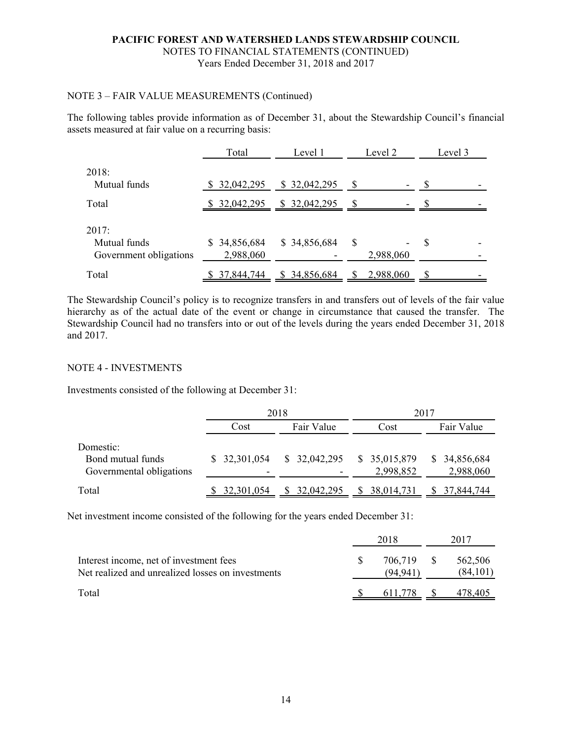### NOTE 3 – FAIR VALUE MEASUREMENTS (Continued)

The following tables provide information as of December 31, about the Stewardship Council's financial assets measured at fair value on a recurring basis:

|                                        | Total                         | Level 1      | Level 2        | Level 3 |
|----------------------------------------|-------------------------------|--------------|----------------|---------|
| 2018:                                  |                               |              |                |         |
| Mutual funds                           | 32,042,295<br><sup>S</sup>    | \$32,042,295 | S              |         |
| Total                                  | 32,042,295                    | \$32,042,295 |                |         |
| 2017:                                  |                               |              |                |         |
| Mutual funds<br>Government obligations | 34,856,684<br>S.<br>2,988,060 | \$34,856,684 | S<br>2,988,060 | S       |
| Total                                  | 37,844,744                    | 34,856,684   | 2,988,060      |         |

The Stewardship Council's policy is to recognize transfers in and transfers out of levels of the fair value hierarchy as of the actual date of the event or change in circumstance that caused the transfer. The Stewardship Council had no transfers into or out of the levels during the years ended December 31, 2018 and 2017.

### NOTE 4 - INVESTMENTS

Investments consisted of the following at December 31:

|                                                            |                                          | 2018              | 2017                      |                           |  |  |
|------------------------------------------------------------|------------------------------------------|-------------------|---------------------------|---------------------------|--|--|
|                                                            | Cost                                     | Fair Value        | Cost                      | Fair Value                |  |  |
| Domestic:<br>Bond mutual funds<br>Governmental obligations | \$32,301,054<br>$\overline{\phantom{0}}$ | \$32,042,295<br>- | \$35,015,879<br>2,998,852 | \$34,856,684<br>2,988,060 |  |  |
| Total                                                      | 32,301,054                               | 32,042,295        | 38,014,731                | \$ 37,844,744             |  |  |

Net investment income consisted of the following for the years ended December 31:

|                                                                                              | 2018                   | 2017                 |
|----------------------------------------------------------------------------------------------|------------------------|----------------------|
| Interest income, net of investment fees<br>Net realized and unrealized losses on investments | 706,719 \$<br>(94.941) | 562,506<br>(84, 101) |
| Total                                                                                        | 611,778                | 478.405              |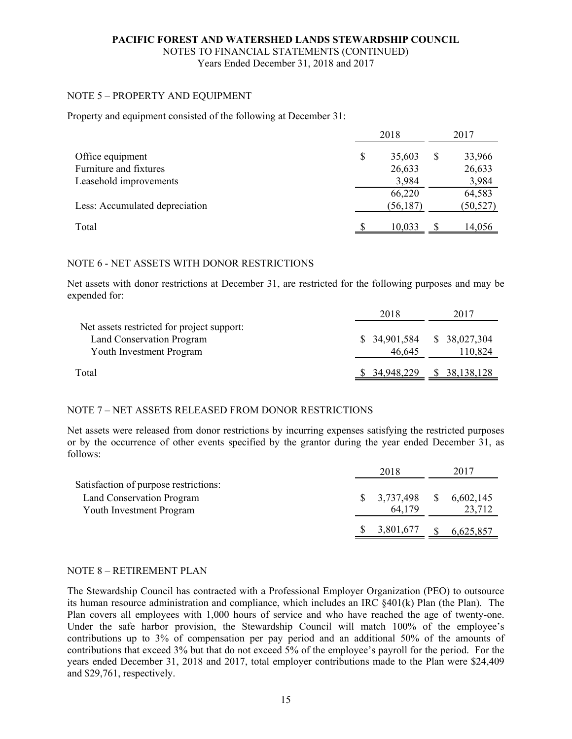NOTES TO FINANCIAL STATEMENTS (CONTINUED)

Years Ended December 31, 2018 and 2017

#### NOTE 5 – PROPERTY AND EQUIPMENT

Property and equipment consisted of the following at December 31:

|                                |   | 2018      |   | 2017          |
|--------------------------------|---|-----------|---|---------------|
| Office equipment               | S | 35,603    | S | 33,966        |
| Furniture and fixtures         |   | 26,633    |   | 26,633        |
| Leasehold improvements         |   | 3,984     |   | 3,984         |
|                                |   | 66,220    |   | 64,583        |
| Less: Accumulated depreciation |   | (56, 187) |   | (50, 527)     |
| Total                          |   | 10,033    |   | <u>14,056</u> |

#### NOTE 6 - NET ASSETS WITH DONOR RESTRICTIONS

Net assets with donor restrictions at December 31, are restricted for the following purposes and may be expended for:

| 2018       | 2017                        |
|------------|-----------------------------|
|            |                             |
|            |                             |
| 46.645     | 110,824                     |
| 34,948,229 | \$ 38,138,128               |
|            | $$34,901,584$ $$38,027,304$ |

### NOTE 7 – NET ASSETS RELEASED FROM DONOR RESTRICTIONS

Net assets were released from donor restrictions by incurring expenses satisfying the restricted purposes or by the occurrence of other events specified by the grantor during the year ended December 31, as follows:

|                                       | 2018      | 2017      |
|---------------------------------------|-----------|-----------|
| Satisfaction of purpose restrictions: |           |           |
| Land Conservation Program             |           | 6,602,145 |
| Youth Investment Program              | 64.179    | 23,712    |
|                                       | 3,801,677 | 6,625,857 |

### NOTE 8 – RETIREMENT PLAN

The Stewardship Council has contracted with a Professional Employer Organization (PEO) to outsource its human resource administration and compliance, which includes an IRC §401(k) Plan (the Plan). The Plan covers all employees with 1,000 hours of service and who have reached the age of twenty-one. Under the safe harbor provision, the Stewardship Council will match 100% of the employee's contributions up to 3% of compensation per pay period and an additional 50% of the amounts of contributions that exceed 3% but that do not exceed 5% of the employee's payroll for the period. For the years ended December 31, 2018 and 2017, total employer contributions made to the Plan were \$24,409 and \$29,761, respectively.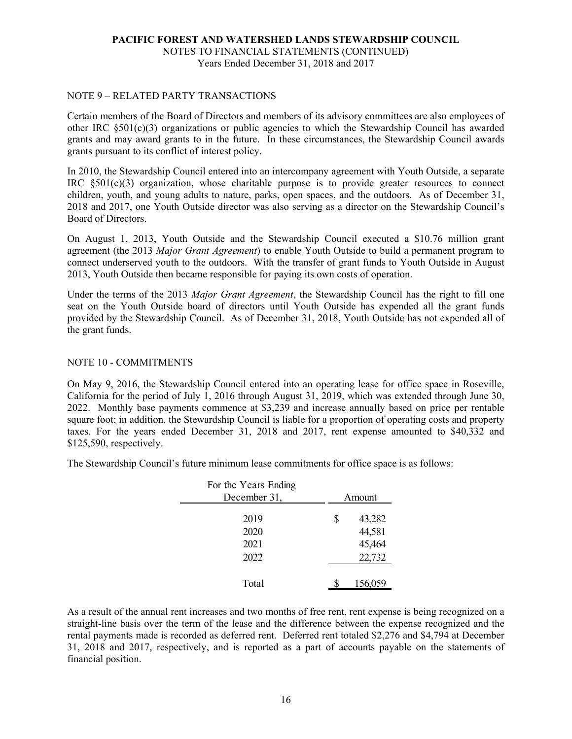#### NOTE 9 – RELATED PARTY TRANSACTIONS

Certain members of the Board of Directors and members of its advisory committees are also employees of other IRC §501(c)(3) organizations or public agencies to which the Stewardship Council has awarded grants and may award grants to in the future. In these circumstances, the Stewardship Council awards grants pursuant to its conflict of interest policy.

In 2010, the Stewardship Council entered into an intercompany agreement with Youth Outside, a separate IRC §501(c)(3) organization, whose charitable purpose is to provide greater resources to connect children, youth, and young adults to nature, parks, open spaces, and the outdoors. As of December 31, 2018 and 2017, one Youth Outside director was also serving as a director on the Stewardship Council's Board of Directors.

On August 1, 2013, Youth Outside and the Stewardship Council executed a \$10.76 million grant agreement (the 2013 *Major Grant Agreement*) to enable Youth Outside to build a permanent program to connect underserved youth to the outdoors. With the transfer of grant funds to Youth Outside in August 2013, Youth Outside then became responsible for paying its own costs of operation.

Under the terms of the 2013 *Major Grant Agreement*, the Stewardship Council has the right to fill one seat on the Youth Outside board of directors until Youth Outside has expended all the grant funds provided by the Stewardship Council. As of December 31, 2018, Youth Outside has not expended all of the grant funds.

#### NOTE 10 - COMMITMENTS

On May 9, 2016, the Stewardship Council entered into an operating lease for office space in Roseville, California for the period of July 1, 2016 through August 31, 2019, which was extended through June 30, 2022. Monthly base payments commence at \$3,239 and increase annually based on price per rentable square foot; in addition, the Stewardship Council is liable for a proportion of operating costs and property taxes. For the years ended December 31, 2018 and 2017, rent expense amounted to \$40,332 and \$125,590, respectively.

The Stewardship Council's future minimum lease commitments for office space is as follows:

| For the Years Ending<br>December 31, | Amount                                     |  |  |
|--------------------------------------|--------------------------------------------|--|--|
| 2019<br>2020<br>2021<br>2022         | \$<br>43,282<br>44,581<br>45,464<br>22,732 |  |  |
| Total                                | 156,059                                    |  |  |

As a result of the annual rent increases and two months of free rent, rent expense is being recognized on a straight-line basis over the term of the lease and the difference between the expense recognized and the rental payments made is recorded as deferred rent. Deferred rent totaled \$2,276 and \$4,794 at December 31, 2018 and 2017, respectively, and is reported as a part of accounts payable on the statements of financial position.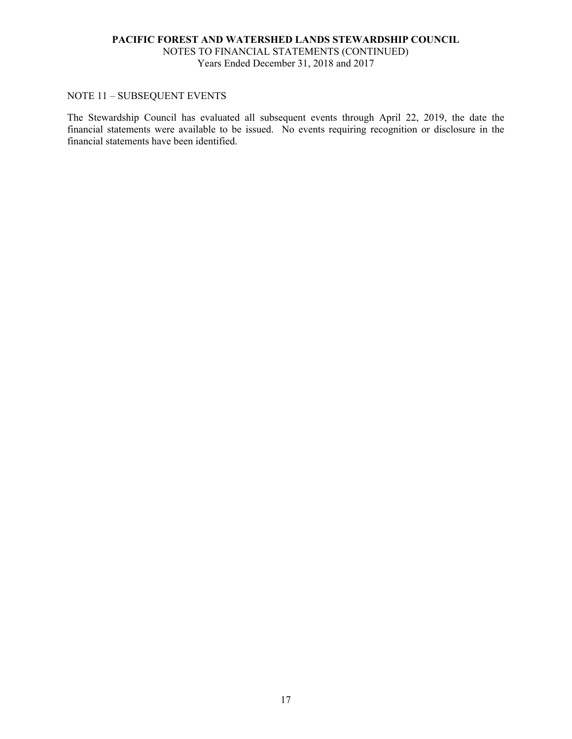## NOTE 11 – SUBSEQUENT EVENTS

The Stewardship Council has evaluated all subsequent events through April 22, 2019, the date the financial statements were available to be issued. No events requiring recognition or disclosure in the financial statements have been identified.